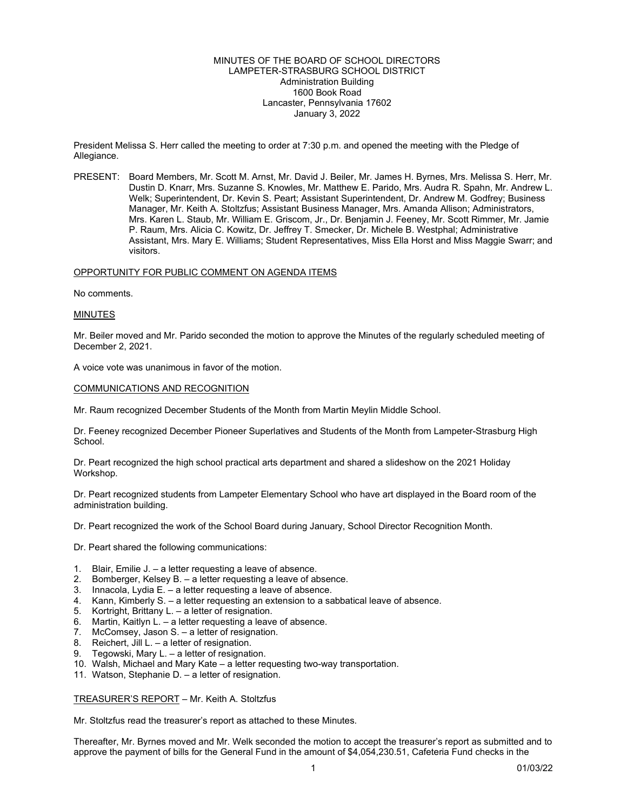## MINUTES OF THE BOARD OF SCHOOL DIRECTORS LAMPETER-STRASBURG SCHOOL DISTRICT Administration Building 1600 Book Road Lancaster, Pennsylvania 17602 January 3, 2022

President Melissa S. Herr called the meeting to order at 7:30 p.m. and opened the meeting with the Pledge of Allegiance.

PRESENT: Board Members, Mr. Scott M. Arnst, Mr. David J. Beiler, Mr. James H. Byrnes, Mrs. Melissa S. Herr, Mr. Dustin D. Knarr, Mrs. Suzanne S. Knowles, Mr. Matthew E. Parido, Mrs. Audra R. Spahn, Mr. Andrew L. Welk; Superintendent, Dr. Kevin S. Peart; Assistant Superintendent, Dr. Andrew M. Godfrey; Business Manager, Mr. Keith A. Stoltzfus; Assistant Business Manager, Mrs. Amanda Allison; Administrators, Mrs. Karen L. Staub, Mr. William E. Griscom, Jr., Dr. Benjamin J. Feeney, Mr. Scott Rimmer, Mr. Jamie P. Raum, Mrs. Alicia C. Kowitz, Dr. Jeffrey T. Smecker, Dr. Michele B. Westphal; Administrative Assistant, Mrs. Mary E. Williams; Student Representatives, Miss Ella Horst and Miss Maggie Swarr; and visitors.

# OPPORTUNITY FOR PUBLIC COMMENT ON AGENDA ITEMS

No comments.

# MINUTES

Mr. Beiler moved and Mr. Parido seconded the motion to approve the Minutes of the regularly scheduled meeting of December 2, 2021.

A voice vote was unanimous in favor of the motion.

#### COMMUNICATIONS AND RECOGNITION

Mr. Raum recognized December Students of the Month from Martin Meylin Middle School.

Dr. Feeney recognized December Pioneer Superlatives and Students of the Month from Lampeter-Strasburg High School.

Dr. Peart recognized the high school practical arts department and shared a slideshow on the 2021 Holiday Workshop.

Dr. Peart recognized students from Lampeter Elementary School who have art displayed in the Board room of the administration building.

Dr. Peart recognized the work of the School Board during January, School Director Recognition Month.

Dr. Peart shared the following communications:

- 1. Blair, Emilie J. a letter requesting a leave of absence.
- 2. Bomberger, Kelsey B. a letter requesting a leave of absence.
- 3. Innacola, Lydia E. a letter requesting a leave of absence.
- 4. Kann, Kimberly S. a letter requesting an extension to a sabbatical leave of absence.
- 5. Kortright, Brittany L. a letter of resignation.
- 6. Martin, Kaitlyn L. a letter requesting a leave of absence.
- 7. McComsey, Jason S. a letter of resignation.
- 8. Reichert, Jill L. a letter of resignation.
- 9. Tegowski, Mary L. a letter of resignation.
- 10. Walsh, Michael and Mary Kate a letter requesting two-way transportation.
- 11. Watson, Stephanie D. a letter of resignation.

TREASURER'S REPORT – Mr. Keith A. Stoltzfus

Mr. Stoltzfus read the treasurer's report as attached to these Minutes.

Thereafter, Mr. Byrnes moved and Mr. Welk seconded the motion to accept the treasurer's report as submitted and to approve the payment of bills for the General Fund in the amount of \$4,054,230.51, Cafeteria Fund checks in the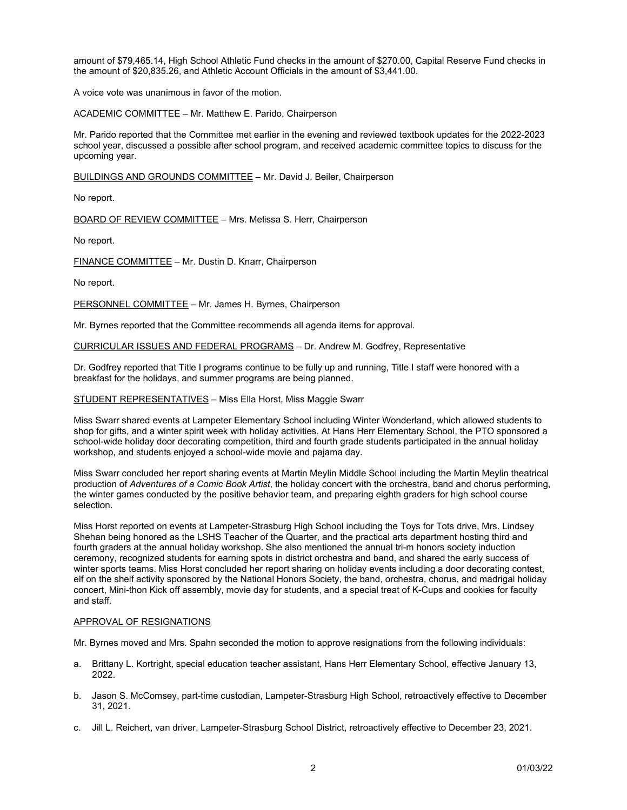amount of \$79,465.14, High School Athletic Fund checks in the amount of \$270.00, Capital Reserve Fund checks in the amount of \$20,835.26, and Athletic Account Officials in the amount of \$3,441.00.

A voice vote was unanimous in favor of the motion.

ACADEMIC COMMITTEE - Mr. Matthew E. Parido, Chairperson

Mr. Parido reported that the Committee met earlier in the evening and reviewed textbook updates for the 2022-2023 school year, discussed a possible after school program, and received academic committee topics to discuss for the upcoming year.

BUILDINGS AND GROUNDS COMMITTEE – Mr. David J. Beiler, Chairperson

No report.

BOARD OF REVIEW COMMITTEE – Mrs. Melissa S. Herr, Chairperson

No report.

FINANCE COMMITTEE – Mr. Dustin D. Knarr, Chairperson

No report.

PERSONNEL COMMITTEE - Mr. James H. Byrnes, Chairperson

Mr. Byrnes reported that the Committee recommends all agenda items for approval.

CURRICULAR ISSUES AND FEDERAL PROGRAMS – Dr. Andrew M. Godfrey, Representative

Dr. Godfrey reported that Title I programs continue to be fully up and running, Title I staff were honored with a breakfast for the holidays, and summer programs are being planned.

STUDENT REPRESENTATIVES – Miss Ella Horst, Miss Maggie Swarr

Miss Swarr shared events at Lampeter Elementary School including Winter Wonderland, which allowed students to shop for gifts, and a winter spirit week with holiday activities. At Hans Herr Elementary School, the PTO sponsored a school-wide holiday door decorating competition, third and fourth grade students participated in the annual holiday workshop, and students enjoyed a school-wide movie and pajama day.

Miss Swarr concluded her report sharing events at Martin Meylin Middle School including the Martin Meylin theatrical production of *Adventures of a Comic Book Artist*, the holiday concert with the orchestra, band and chorus performing, the winter games conducted by the positive behavior team, and preparing eighth graders for high school course selection.

Miss Horst reported on events at Lampeter-Strasburg High School including the Toys for Tots drive, Mrs. Lindsey Shehan being honored as the LSHS Teacher of the Quarter, and the practical arts department hosting third and fourth graders at the annual holiday workshop. She also mentioned the annual tri-m honors society induction ceremony, recognized students for earning spots in district orchestra and band, and shared the early success of winter sports teams. Miss Horst concluded her report sharing on holiday events including a door decorating contest, elf on the shelf activity sponsored by the National Honors Society, the band, orchestra, chorus, and madrigal holiday concert, Mini-thon Kick off assembly, movie day for students, and a special treat of K-Cups and cookies for faculty and staff.

## APPROVAL OF RESIGNATIONS

Mr. Byrnes moved and Mrs. Spahn seconded the motion to approve resignations from the following individuals:

- a. Brittany L. Kortright, special education teacher assistant, Hans Herr Elementary School, effective January 13, 2022.
- b. Jason S. McComsey, part-time custodian, Lampeter-Strasburg High School, retroactively effective to December 31, 2021.
- c. Jill L. Reichert, van driver, Lampeter-Strasburg School District, retroactively effective to December 23, 2021.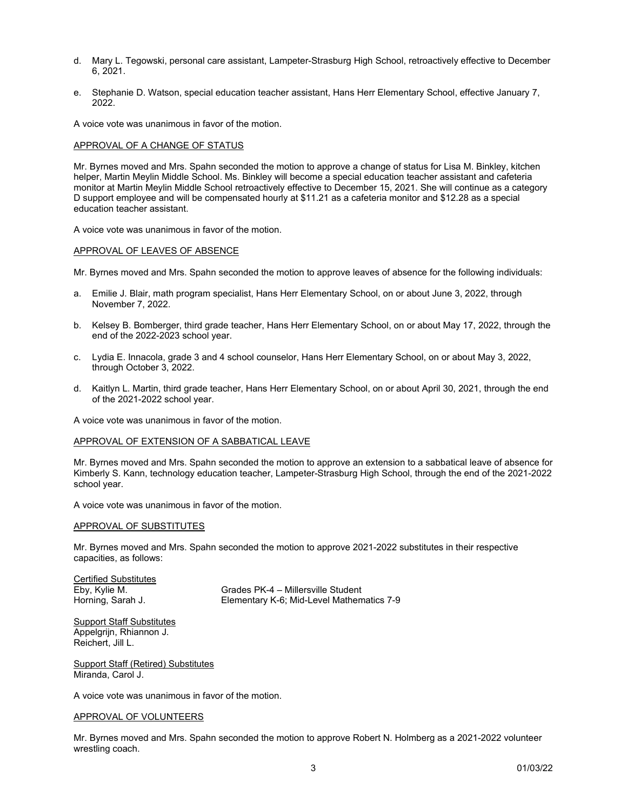- d. Mary L. Tegowski, personal care assistant, Lampeter-Strasburg High School, retroactively effective to December 6, 2021.
- e. Stephanie D. Watson, special education teacher assistant, Hans Herr Elementary School, effective January 7, 2022.

A voice vote was unanimous in favor of the motion.

# APPROVAL OF A CHANGE OF STATUS

Mr. Byrnes moved and Mrs. Spahn seconded the motion to approve a change of status for Lisa M. Binkley, kitchen helper, Martin Meylin Middle School. Ms. Binkley will become a special education teacher assistant and cafeteria monitor at Martin Meylin Middle School retroactively effective to December 15, 2021. She will continue as a category D support employee and will be compensated hourly at \$11.21 as a cafeteria monitor and \$12.28 as a special education teacher assistant.

A voice vote was unanimous in favor of the motion.

#### APPROVAL OF LEAVES OF ABSENCE

Mr. Byrnes moved and Mrs. Spahn seconded the motion to approve leaves of absence for the following individuals:

- a. Emilie J. Blair, math program specialist, Hans Herr Elementary School, on or about June 3, 2022, through November 7, 2022.
- b. Kelsey B. Bomberger, third grade teacher, Hans Herr Elementary School, on or about May 17, 2022, through the end of the 2022-2023 school year.
- c. Lydia E. Innacola, grade 3 and 4 school counselor, Hans Herr Elementary School, on or about May 3, 2022, through October 3, 2022.
- d. Kaitlyn L. Martin, third grade teacher, Hans Herr Elementary School, on or about April 30, 2021, through the end of the 2021-2022 school year.

A voice vote was unanimous in favor of the motion.

## APPROVAL OF EXTENSION OF A SABBATICAL LEAVE

Mr. Byrnes moved and Mrs. Spahn seconded the motion to approve an extension to a sabbatical leave of absence for Kimberly S. Kann, technology education teacher, Lampeter-Strasburg High School, through the end of the 2021-2022 school year.

A voice vote was unanimous in favor of the motion.

## APPROVAL OF SUBSTITUTES

Mr. Byrnes moved and Mrs. Spahn seconded the motion to approve 2021-2022 substitutes in their respective capacities, as follows:

Certified Substitutes<br>Eby, Kylie M.

Grades PK-4 – Millersville Student Horning, Sarah J. Elementary K-6; Mid-Level Mathematics 7-9

**Support Staff Substitutes** Appelgrijn, Rhiannon J. Reichert, Jill L.

Support Staff (Retired) Substitutes Miranda, Carol J.

A voice vote was unanimous in favor of the motion.

## APPROVAL OF VOLUNTEERS

Mr. Byrnes moved and Mrs. Spahn seconded the motion to approve Robert N. Holmberg as a 2021-2022 volunteer wrestling coach.